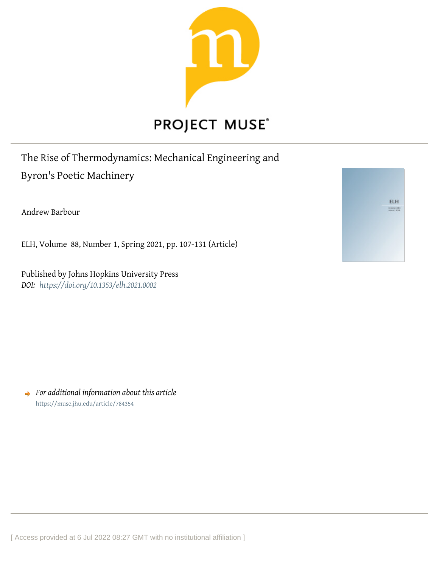

# **PROJECT MUSE®**

## The Rise of Thermodynamics: Mechanical Engineering and Byron's Poetic Machinery

Andrew Barbour

ELH, Volume 88, Number 1, Spring 2021, pp. 107-131 (Article)

Published by Johns Hopkins University Press *DOI: <https://doi.org/10.1353/elh.2021.0002>*

ELH 

*For additional information about this article* <https://muse.jhu.edu/article/784354>

[ Access provided at 6 Jul 2022 08:27 GMT with no institutional affiliation ]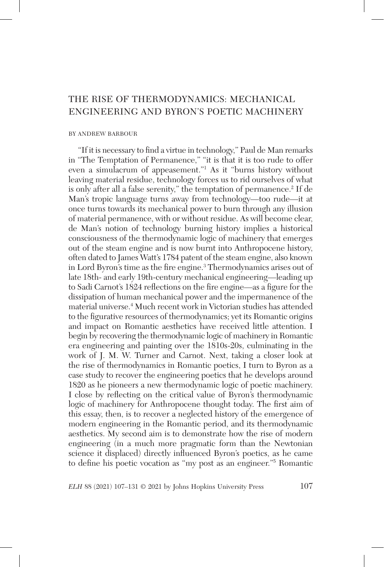### THE RISE OF THERMODYNAMICS: MECHANICAL ENGINEERING AND BYRON'S POETIC MACHINERY

#### BY ANDREW BARBOUR

"If it is necessary to find a virtue in technology," Paul de Man remarks in "The Temptation of Permanence," "it is that it is too rude to offer even a simulacrum of appeasement."1 As it "burns history without leaving material residue, technology forces us to rid ourselves of what is only after all a false serenity," the temptation of permanence.2 If de Man's tropic language turns away from technology—too rude—it at once turns towards its mechanical power to burn through any illusion of material permanence, with or without residue. As will become clear, de Man's notion of technology burning history implies a historical consciousness of the thermodynamic logic of machinery that emerges out of the steam engine and is now burnt into Anthropocene history, often dated to James Watt's 1784 patent of the steam engine, also known in Lord Byron's time as the fire engine.<sup>3</sup> Thermodynamics arises out of late 18th- and early 19th-century mechanical engineering—leading up to Sadi Carnot's 1824 reflections on the fire engine—as a figure for the dissipation of human mechanical power and the impermanence of the material universe.4 Much recent work in Victorian studies has attended to the figurative resources of thermodynamics; yet its Romantic origins and impact on Romantic aesthetics have received little attention. I begin by recovering the thermodynamic logic of machinery in Romantic era engineering and painting over the 1810s-20s, culminating in the work of J. M. W. Turner and Carnot. Next, taking a closer look at the rise of thermodynamics in Romantic poetics, I turn to Byron as a case study to recover the engineering poetics that he develops around 1820 as he pioneers a new thermodynamic logic of poetic machinery. I close by reflecting on the critical value of Byron's thermodynamic logic of machinery for Anthropocene thought today. The first aim of this essay, then, is to recover a neglected history of the emergence of modern engineering in the Romantic period, and its thermodynamic aesthetics. My second aim is to demonstrate how the rise of modern engineering (in a much more pragmatic form than the Newtonian science it displaced) directly influenced Byron's poetics, as he came to define his poetic vocation as "my post as an engineer."5 Romantic

*ELH* 88 (2021) 107–131  $\odot$  2021 by Johns Hopkins University Press 107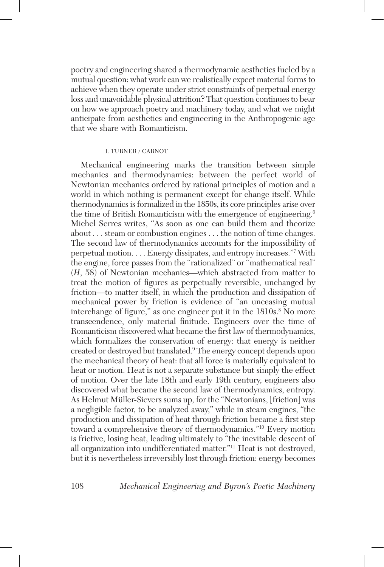poetry and engineering shared a thermodynamic aesthetics fueled by a mutual question: what work can we realistically expect material forms to achieve when they operate under strict constraints of perpetual energy loss and unavoidable physical attrition? That question continues to bear on how we approach poetry and machinery today, and what we might anticipate from aesthetics and engineering in the Anthropogenic age that we share with Romanticism.

#### I. TURNER / CARNOT

Mechanical engineering marks the transition between simple mechanics and thermodynamics: between the perfect world of Newtonian mechanics ordered by rational principles of motion and a world in which nothing is permanent except for change itself. While thermodynamics is formalized in the 1850s, its core principles arise over the time of British Romanticism with the emergence of engineering.6 Michel Serres writes, "As soon as one can build them and theorize about . . . steam or combustion engines . . . the notion of time changes. The second law of thermodynamics accounts for the impossibility of perpetual motion. . . . Energy dissipates, and entropy increases."7 With the engine, force passes from the "rationalized" or "mathematical real" (*H*, 58) of Newtonian mechanics—which abstracted from matter to treat the motion of figures as perpetually reversible, unchanged by friction—to matter itself, in which the production and dissipation of mechanical power by friction is evidence of "an unceasing mutual interchange of figure," as one engineer put it in the 1810s.<sup>8</sup> No more transcendence, only material finitude. Engineers over the time of Romanticism discovered what became the first law of thermodynamics, which formalizes the conservation of energy: that energy is neither created or destroyed but translated.9 The energy concept depends upon the mechanical theory of heat: that all force is materially equivalent to heat or motion. Heat is not a separate substance but simply the effect of motion. Over the late 18th and early 19th century, engineers also discovered what became the second law of thermodynamics, entropy. As Helmut Müller-Sievers sums up, for the "Newtonians, [friction] was a negligible factor, to be analyzed away," while in steam engines, "the production and dissipation of heat through friction became a first step toward a comprehensive theory of thermodynamics."10 Every motion is frictive, losing heat, leading ultimately to "the inevitable descent of all organization into undifferentiated matter."11 Heat is not destroyed, but it is nevertheless irreversibly lost through friction: energy becomes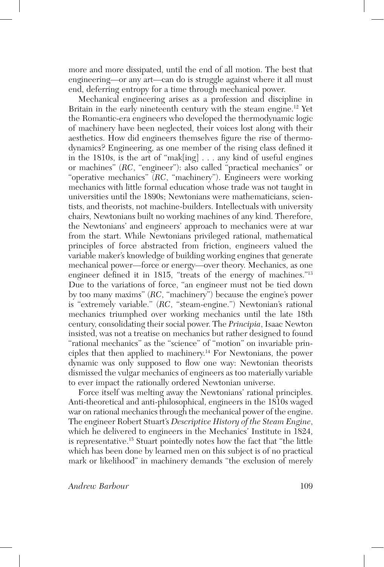more and more dissipated, until the end of all motion. The best that engineering—or any art—can do is struggle against where it all must end, deferring entropy for a time through mechanical power.

Mechanical engineering arises as a profession and discipline in Britain in the early nineteenth century with the steam engine.<sup>12</sup> Yet the Romantic-era engineers who developed the thermodynamic logic of machinery have been neglected, their voices lost along with their aesthetics. How did engineers themselves figure the rise of thermodynamics? Engineering, as one member of the rising class defined it in the 1810s, is the art of "mak[ing] . . . any kind of useful engines or machines" (*RC*, "engineer"): also called "practical mechanics" or "operative mechanics" (*RC*, "machinery"). Engineers were working mechanics with little formal education whose trade was not taught in universities until the 1890s; Newtonians were mathematicians, scientists, and theorists, not machine-builders. Intellectuals with university chairs, Newtonians built no working machines of any kind. Therefore, the Newtonians' and engineers' approach to mechanics were at war from the start. While Newtonians privileged rational, mathematical principles of force abstracted from friction, engineers valued the variable maker's knowledge of building working engines that generate mechanical power—force or energy—over theory. Mechanics, as one engineer defined it in 1815, "treats of the energy of machines."13 Due to the variations of force, "an engineer must not be tied down by too many maxims" (*RC*, "machinery") because the engine's power is "extremely variable." (*RC*, "steam-engine.") Newtonian's rational mechanics triumphed over working mechanics until the late 18th century, consolidating their social power. The *Principia*, Isaac Newton insisted, was not a treatise on mechanics but rather designed to found "rational mechanics" as the "science" of "motion" on invariable principles that then applied to machinery.14 For Newtonians, the power dynamic was only supposed to flow one way: Newtonian theorists dismissed the vulgar mechanics of engineers as too materially variable to ever impact the rationally ordered Newtonian universe.

Force itself was melting away the Newtonians' rational principles. Anti-theoretical and anti-philosophical, engineers in the 1810s waged war on rational mechanics through the mechanical power of the engine. The engineer Robert Stuart's *Descriptive History of the Steam Engine*, which he delivered to engineers in the Mechanics' Institute in 1824, is representative.15 Stuart pointedly notes how the fact that "the little which has been done by learned men on this subject is of no practical mark or likelihood" in machinery demands "the exclusion of merely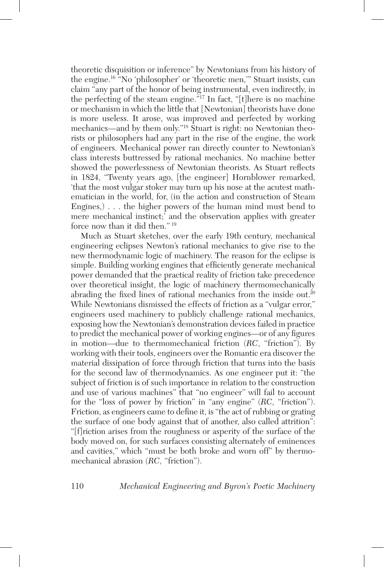theoretic disquisition or inference" by Newtonians from his history of the engine.16 "No 'philosopher' or 'theoretic men,'" Stuart insists, can claim "any part of the honor of being instrumental, even indirectly, in the perfecting of the steam engine."17 In fact, "[t]here is no machine or mechanism in which the little that [Newtonian] theorists have done is more useless. It arose, was improved and perfected by working mechanics—and by them only."18 Stuart is right: no Newtonian theorists or philosophers had any part in the rise of the engine, the work of engineers. Mechanical power ran directly counter to Newtonian's class interests buttressed by rational mechanics. No machine better showed the powerlessness of Newtonian theorists. As Stuart reflects in 1824, "Twenty years ago, [the engineer] Hornblower remarked, 'that the most vulgar stoker may turn up his nose at the acutest mathematician in the world, for, (in the action and construction of Steam Engines,) . . . the higher powers of the human mind must bend to mere mechanical instinct;' and the observation applies with greater force now than it did then." 19

Much as Stuart sketches, over the early 19th century, mechanical engineering eclipses Newton's rational mechanics to give rise to the new thermodynamic logic of machinery. The reason for the eclipse is simple. Building working engines that efficiently generate mechanical power demanded that the practical reality of friction take precedence over theoretical insight, the logic of machinery thermomechanically abrading the fixed lines of rational mechanics from the inside out.<sup>20</sup> While Newtonians dismissed the effects of friction as a "vulgar error," engineers used machinery to publicly challenge rational mechanics, exposing how the Newtonian's demonstration devices failed in practice to predict the mechanical power of working engines—or of any figures in motion—due to thermomechanical friction (*RC*, "friction"). By working with their tools, engineers over the Romantic era discover the material dissipation of force through friction that turns into the basis for the second law of thermodynamics. As one engineer put it: "the subject of friction is of such importance in relation to the construction and use of various machines" that "no engineer" will fail to account for the "loss of power by friction" in "any engine" (*RC,* "friction"). Friction, as engineers came to define it, is "the act of rubbing or grating the surface of one body against that of another, also called attrition": "[f]riction arises from the roughness or asperity of the surface of the body moved on, for such surfaces consisting alternately of eminences and cavities," which "must be both broke and worn off" by thermomechanical abrasion (*RC,* "friction").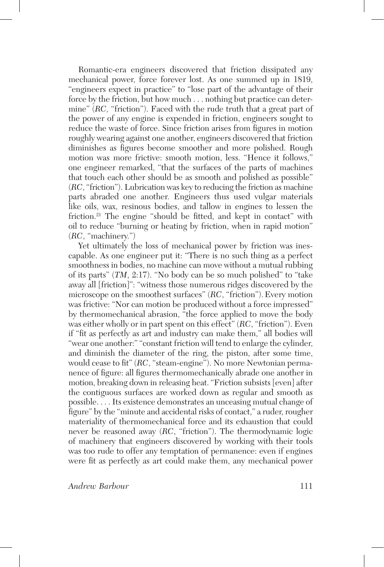Romantic-era engineers discovered that friction dissipated any mechanical power, force forever lost. As one summed up in 1819, "engineers expect in practice" to "lose part of the advantage of their force by the friction, but how much . . . nothing but practice can determine" (*RC,* "friction"). Faced with the rude truth that a great part of the power of any engine is expended in friction, engineers sought to reduce the waste of force. Since friction arises from figures in motion roughly wearing against one another, engineers discovered that friction diminishes as figures become smoother and more polished. Rough motion was more frictive: smooth motion, less. "Hence it follows," one engineer remarked, "that the surfaces of the parts of machines that touch each other should be as smooth and polished as possible" (*RC*, "friction"). Lubrication was key to reducing the friction as machine parts abraded one another. Engineers thus used vulgar materials like oils, wax, resinous bodies, and tallow in engines to lessen the friction.21 The engine "should be fitted, and kept in contact" with oil to reduce "burning or heating by friction, when in rapid motion" (*RC*, "machinery.")

Yet ultimately the loss of mechanical power by friction was inescapable. As one engineer put it: "There is no such thing as a perfect smoothness in bodies, no machine can move without a mutual rubbing of its parts" (*TM*, 2:17). "No body can be so much polished" to "take away all [friction]": "witness those numerous ridges discovered by the microscope on the smoothest surfaces" (*RC*, "friction"). Every motion was frictive: "Nor can motion be produced without a force impressed" by thermomechanical abrasion, "the force applied to move the body was either wholly or in part spent on this effect" (*RC*, "friction"). Even if "fit as perfectly as art and industry can make them," all bodies will "wear one another:" "constant friction will tend to enlarge the cylinder, and diminish the diameter of the ring, the piston, after some time, would cease to fit" (*RC*, "steam-engine"). No more Newtonian permanence of figure: all figures thermomechanically abrade one another in motion, breaking down in releasing heat. "Friction subsists [even] after the contiguous surfaces are worked down as regular and smooth as possible. . . . Its existence demonstrates an unceasing mutual change of figure" by the "minute and accidental risks of contact," a ruder, rougher materiality of thermomechanical force and its exhaustion that could never be reasoned away (*RC*, "friction"). The thermodynamic logic of machinery that engineers discovered by working with their tools was too rude to offer any temptation of permanence: even if engines were fit as perfectly as art could make them, any mechanical power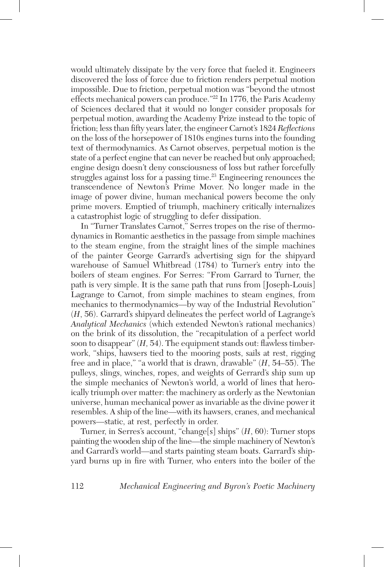would ultimately dissipate by the very force that fueled it. Engineers discovered the loss of force due to friction renders perpetual motion impossible. Due to friction, perpetual motion was "beyond the utmost effects mechanical powers can produce."<sup>22</sup> In 1776, the Paris Academy of Sciences declared that it would no longer consider proposals for perpetual motion, awarding the Academy Prize instead to the topic of friction; less than fifty years later, the engineer Carnot's 1824 *Reflections* on the loss of the horsepower of 1810s engines turns into the founding text of thermodynamics. As Carnot observes, perpetual motion is the state of a perfect engine that can never be reached but only approached; engine design doesn't deny consciousness of loss but rather forcefully struggles against loss for a passing time.<sup>23</sup> Engineering renounces the transcendence of Newton's Prime Mover. No longer made in the image of power divine, human mechanical powers become the only prime movers. Emptied of triumph, machinery critically internalizes a catastrophist logic of struggling to defer dissipation.

In "Turner Translates Carnot," Serres tropes on the rise of thermodynamics in Romantic aesthetics in the passage from simple machines to the steam engine, from the straight lines of the simple machines of the painter George Garrard's advertising sign for the shipyard warehouse of Samuel Whitbread (1784) to Turner's entry into the boilers of steam engines. For Serres: "From Garrard to Turner, the path is very simple. It is the same path that runs from [Joseph-Louis] Lagrange to Carnot, from simple machines to steam engines, from mechanics to thermodynamics—by way of the Industrial Revolution" (*H*, 56). Garrard's shipyard delineates the perfect world of Lagrange's *Analytical Mechanics* (which extended Newton's rational mechanics) on the brink of its dissolution, the "recapitulation of a perfect world soon to disappear" (*H,* 54). The equipment stands out: flawless timberwork, "ships, hawsers tied to the mooring posts, sails at rest, rigging free and in place," "a world that is drawn, drawable" (*H*, 54–55). The pulleys, slings, winches, ropes, and weights of Gerrard's ship sum up the simple mechanics of Newton's world, a world of lines that heroically triumph over matter: the machinery as orderly as the Newtonian universe, human mechanical power as invariable as the divine power it resembles. A ship of the line—with its hawsers, cranes, and mechanical powers—static, at rest, perfectly in order.

Turner, in Serres's account, "change[s] ships" (*H*, 60): Turner stops painting the wooden ship of the line—the simple machinery of Newton's and Garrard's world—and starts painting steam boats. Garrard's shipyard burns up in fire with Turner, who enters into the boiler of the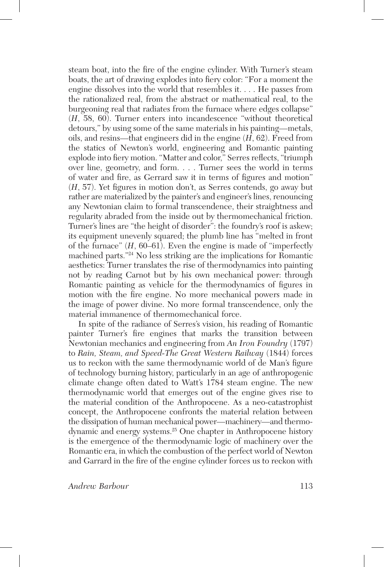steam boat, into the fire of the engine cylinder. With Turner's steam boats, the art of drawing explodes into fiery color: "For a moment the engine dissolves into the world that resembles it. . . . He passes from the rationalized real, from the abstract or mathematical real, to the burgeoning real that radiates from the furnace where edges collapse" (*H*, 58, 60). Turner enters into incandescence "without theoretical detours," by using some of the same materials in his painting—metals, oils, and resins—that engineers did in the engine (*H*, 62). Freed from the statics of Newton's world, engineering and Romantic painting explode into fiery motion. "Matter and color," Serres reflects, "triumph over line, geometry, and form. . . . Turner sees the world in terms of water and fire, as Gerrard saw it in terms of figures and motion" (*H*, 57). Yet figures in motion don't, as Serres contends, go away but rather are materialized by the painter's and engineer's lines, renouncing any Newtonian claim to formal transcendence, their straightness and regularity abraded from the inside out by thermomechanical friction. Turner's lines are "the height of disorder": the foundry's roof is askew; its equipment unevenly squared; the plumb line has "melted in front of the furnace" (*H*, 60–61). Even the engine is made of "imperfectly machined parts."24 No less striking are the implications for Romantic aesthetics: Turner translates the rise of thermodynamics into painting not by reading Carnot but by his own mechanical power: through Romantic painting as vehicle for the thermodynamics of figures in motion with the fire engine. No more mechanical powers made in the image of power divine. No more formal transcendence, only the material immanence of thermomechanical force.

In spite of the radiance of Serres's vision, his reading of Romantic painter Turner's fire engines that marks the transition between Newtonian mechanics and engineering from *An Iron Foundry* (1797) to *Rain, Steam, and Speed-The Great Western Railway* (1844) forces us to reckon with the same thermodynamic world of de Man's figure of technology burning history, particularly in an age of anthropogenic climate change often dated to Watt's 1784 steam engine. The new thermodynamic world that emerges out of the engine gives rise to the material condition of the Anthropocene. As a neo-catastrophist concept, the Anthropocene confronts the material relation between the dissipation of human mechanical power—machinery—and thermodynamic and energy systems.25 One chapter in Anthropocene history is the emergence of the thermodynamic logic of machinery over the Romantic era, in which the combustion of the perfect world of Newton and Garrard in the fire of the engine cylinder forces us to reckon with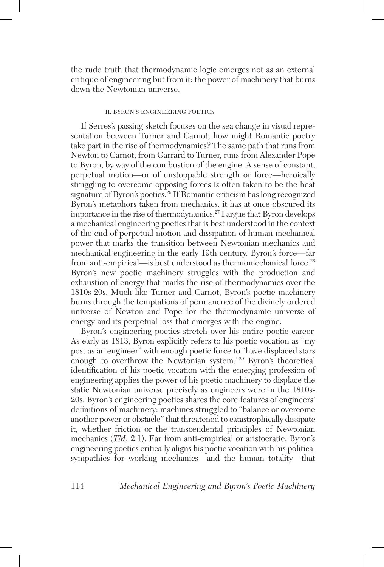the rude truth that thermodynamic logic emerges not as an external critique of engineering but from it: the power of machinery that burns down the Newtonian universe.

#### II. BYRON'S ENGINEERING POETICS

If Serres's passing sketch focuses on the sea change in visual representation between Turner and Carnot, how might Romantic poetry take part in the rise of thermodynamics? The same path that runs from Newton to Carnot, from Garrard to Turner, runs from Alexander Pope to Byron, by way of the combustion of the engine. A sense of constant, perpetual motion—or of unstoppable strength or force—heroically struggling to overcome opposing forces is often taken to be the heat signature of Byron's poetics.26 If Romantic criticism has long recognized Byron's metaphors taken from mechanics, it has at once obscured its importance in the rise of thermodynamics.<sup>27</sup> I argue that Byron develops a mechanical engineering poetics that is best understood in the context of the end of perpetual motion and dissipation of human mechanical power that marks the transition between Newtonian mechanics and mechanical engineering in the early 19th century. Byron's force—far from anti-empirical—is best understood as thermomechanical force.28 Byron's new poetic machinery struggles with the production and exhaustion of energy that marks the rise of thermodynamics over the 1810s-20s. Much like Turner and Carnot, Byron's poetic machinery burns through the temptations of permanence of the divinely ordered universe of Newton and Pope for the thermodynamic universe of energy and its perpetual loss that emerges with the engine.

Byron's engineering poetics stretch over his entire poetic career. As early as 1813, Byron explicitly refers to his poetic vocation as "my post as an engineer" with enough poetic force to "have displaced stars enough to overthrow the Newtonian system."29 Byron's theoretical identification of his poetic vocation with the emerging profession of engineering applies the power of his poetic machinery to displace the static Newtonian universe precisely as engineers were in the 1810s-20s. Byron's engineering poetics shares the core features of engineers' definitions of machinery: machines struggled to "balance or overcome another power or obstacle" that threatened to catastrophically dissipate it, whether friction or the transcendental principles of Newtonian mechanics (*TM,* 2:1). Far from anti-empirical or aristocratic, Byron's engineering poetics critically aligns his poetic vocation with his political sympathies for working mechanics—and the human totality—that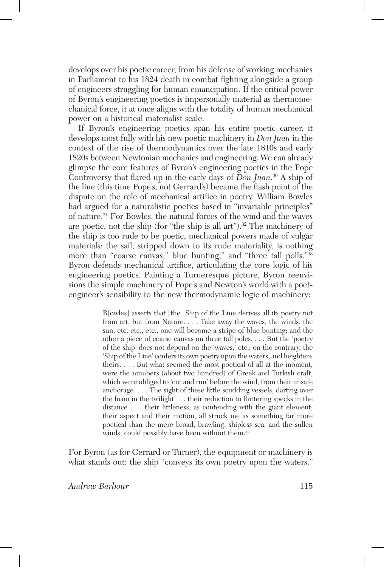develops over his poetic career, from his defense of working mechanics in Parliament to his 1824 death in combat fighting alongside a group of engineers struggling for human emancipation. If the critical power of Byron's engineering poetics is impersonally material as thermomechanical force, it at once aligns with the totality of human mechanical power on a historical materialist scale.

If Byron's engineering poetics span his entire poetic career, it develops most fully with his new poetic machinery in *Don Juan* in the context of the rise of thermodynamics over the late 1810s and early 1820s between Newtonian mechanics and engineering. We can already glimpse the core features of Byron's engineering poetics in the Pope Controversy that flared up in the early days of *Don Juan*. 30 A ship of the line (this time Pope's, not Gerrard's) became the flash point of the dispute on the role of mechanical artifice in poetry. William Bowles had argued for a naturalistic poetics based in "invariable principles" of nature.31 For Bowles, the natural forces of the wind and the waves are poetic, not the ship (for "the ship is all art").<sup>32</sup> The machinery of the ship is too rude to be poetic, mechanical powers made of vulgar materials: the sail, stripped down to its rude materiality, is nothing more than "coarse canvas," blue bunting," and "three tall polls."<sup>33</sup> Byron defends mechanical artifice, articulating the core logic of his engineering poetics. Painting a Turneresque picture, Byron reenvisions the simple machinery of Pope's and Newton's world with a poetengineer's sensibility to the new thermodynamic logic of machinery:

> B[owles] asserts that [the] Ship of the Line derives all its poetry not from art, but from Nature. . . . Take away the waves, the winds, the sun, etc. etc., etc., one will become a stripe of blue bunting; and the other a piece of coarse canvas on three tall poles. . . . But the 'poetry of the ship' does not depend on the 'waves,' etc.; on the contrary, the 'Ship of the Line' confers its own poetry upon the waters, and heightens theirs. . . . But what seemed the most poetical of all at the moment, were the numbers (about two hundred) of Greek and Turkish craft, which were obliged to 'cut and run' before the wind, from their unsafe anchorage. . . . The sight of these little scudding vessels, darting over the foam in the twilight . . . their reduction to fluttering specks in the distance . . . their littleness, as contending with the giant element; their aspect and their motion, all struck me as something far more poetical than the mere broad, brawling, shipless sea, and the sullen winds, could possibly have been without them.<sup>34</sup>

For Byron (as for Gerrard or Turner), the equipment or machinery is what stands out: the ship "conveys its own poetry upon the waters."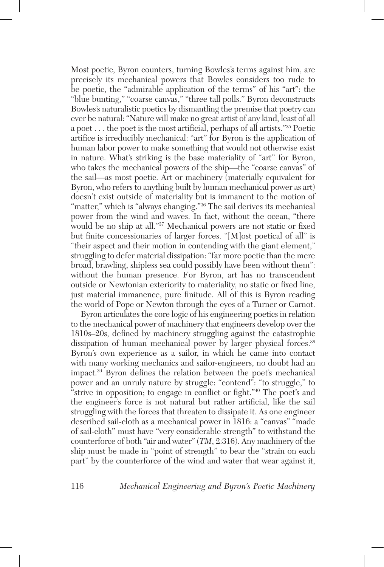Most poetic, Byron counters, turning Bowles's terms against him, are precisely its mechanical powers that Bowles considers too rude to be poetic, the "admirable application of the terms" of his "art": the "blue bunting," "coarse canvas," "three tall polls." Byron deconstructs Bowles's naturalistic poetics by dismantling the premise that poetry can ever be natural: "Nature will make no great artist of any kind, least of all a poet . . . the poet is the most artificial, perhaps of all artists."35 Poetic artifice is irreducibly mechanical: "art" for Byron is the application of human labor power to make something that would not otherwise exist in nature. What's striking is the base materiality of "art" for Byron, who takes the mechanical powers of the ship—the "coarse canvas" of the sail—as most poetic. Art or machinery (materially equivalent for Byron, who refers to anything built by human mechanical power as art) doesn't exist outside of materiality but is immanent to the motion of "matter," which is "always changing."<sup>36</sup> The sail derives its mechanical power from the wind and waves. In fact, without the ocean, "there would be no ship at all."37 Mechanical powers are not static or fixed but finite concessionaries of larger forces. "[M]ost poetical of all" is "their aspect and their motion in contending with the giant element," struggling to defer material dissipation: "far more poetic than the mere broad, brawling, shipless sea could possibly have been without them": without the human presence. For Byron, art has no transcendent outside or Newtonian exteriority to materiality, no static or fixed line, just material immanence, pure finitude. All of this is Byron reading the world of Pope or Newton through the eyes of a Turner or Carnot.

Byron articulates the core logic of his engineering poetics in relation to the mechanical power of machinery that engineers develop over the 1810s–20s, defined by machinery struggling against the catastrophic dissipation of human mechanical power by larger physical forces.<sup>38</sup> Byron's own experience as a sailor, in which he came into contact with many working mechanics and sailor-engineers, no doubt had an impact.39 Byron defines the relation between the poet's mechanical power and an unruly nature by struggle: "contend": "to struggle," to "strive in opposition; to engage in conflict or fight."40 The poet's and the engineer's force is not natural but rather artificial, like the sail struggling with the forces that threaten to dissipate it. As one engineer described sail-cloth as a mechanical power in 1816: a "canvas" "made of sail-cloth" must have "very considerable strength" to withstand the counterforce of both "air and water" (*TM*, 2:316). Any machinery of the ship must be made in "point of strength" to bear the "strain on each part" by the counterforce of the wind and water that wear against it,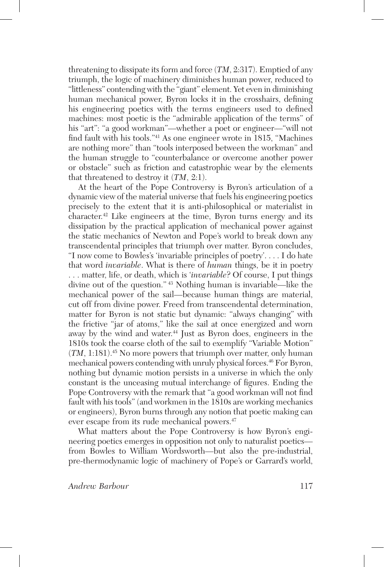threatening to dissipate its form and force (*TM*, 2:317). Emptied of any triumph, the logic of machinery diminishes human power, reduced to "littleness" contending with the "giant" element. Yet even in diminishing human mechanical power, Byron locks it in the crosshairs, defining his engineering poetics with the terms engineers used to defined machines: most poetic is the "admirable application of the terms" of his "art": "a good workman"—whether a poet or engineer—"will not find fault with his tools."41 As one engineer wrote in 1815, "Machines are nothing more" than "tools interposed between the workman" and the human struggle to "counterbalance or overcome another power or obstacle" such as friction and catastrophic wear by the elements that threatened to destroy it (*TM*, 2:1).

At the heart of the Pope Controversy is Byron's articulation of a dynamic view of the material universe that fuels his engineering poetics precisely to the extent that it is anti-philosophical or materialist in character.42 Like engineers at the time, Byron turns energy and its dissipation by the practical application of mechanical power against the static mechanics of Newton and Pope's world to break down any transcendental principles that triumph over matter. Byron concludes, "I now come to Bowles's 'invariable principles of poetry'. . . . I do hate that word *invariable*. What is there of *human* things, be it in poetry . . . matter, life, or death, which is '*invariable*? Of course, I put things divine out of the question." 43 Nothing human is invariable—like the mechanical power of the sail—because human things are material, cut off from divine power. Freed from transcendental determination, matter for Byron is not static but dynamic: "always changing" with the frictive "jar of atoms," like the sail at once energized and worn away by the wind and water.<sup>44</sup> Just as Byron does, engineers in the 1810s took the coarse cloth of the sail to exemplify "Variable Motion" (*TM*, 1:181).45 No more powers that triumph over matter, only human mechanical powers contending with unruly physical forces.<sup>46</sup> For Byron, nothing but dynamic motion persists in a universe in which the only constant is the unceasing mutual interchange of figures. Ending the Pope Controversy with the remark that "a good workman will not find fault with his tools" (and workmen in the 1810s are working mechanics or engineers), Byron burns through any notion that poetic making can ever escape from its rude mechanical powers.<sup>47</sup>

What matters about the Pope Controversy is how Byron's engineering poetics emerges in opposition not only to naturalist poetics from Bowles to William Wordsworth—but also the pre-industrial, pre-thermodynamic logic of machinery of Pope's or Garrard's world,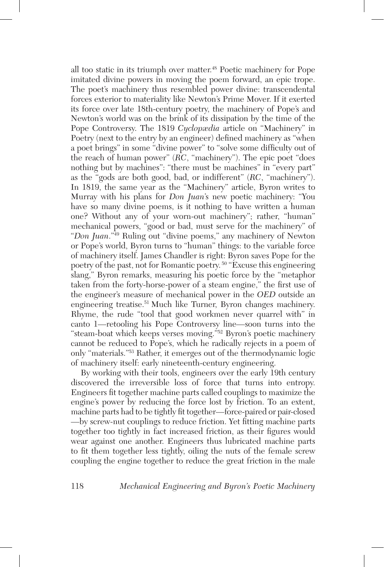all too static in its triumph over matter.<sup>48</sup> Poetic machinery for Pope imitated divine powers in moving the poem forward, an epic trope. The poet's machinery thus resembled power divine: transcendental forces exterior to materiality like Newton's Prime Mover. If it exerted its force over late 18th-century poetry, the machinery of Pope's and Newton's world was on the brink of its dissipation by the time of the Pope Controversy. The 1819 *Cyclopædia* article on "Machinery" in Poetry (next to the entry by an engineer) defined machinery as "when a poet brings" in some "divine power" to "solve some difficulty out of the reach of human power" (*RC*, "machinery"). The epic poet "does nothing but by machines": "there must be machines" in "every part" as the "gods are both good, bad, or indifferent" (*RC*, "machinery"). In 1819, the same year as the "Machinery" article, Byron writes to Murray with his plans for *Don Juan*'s new poetic machinery: "You have so many divine poems, is it nothing to have written a human one? Without any of your worn-out machinery"; rather, "human" mechanical powers, "good or bad, must serve for the machinery" of "*Don Juan*."49 Ruling out "divine poems," any machinery of Newton or Pope's world, Byron turns to "human" things: to the variable force of machinery itself. James Chandler is right: Byron saves Pope for the poetry of the past, not for Romantic poetry. 50 "Excuse this engineering slang," Byron remarks, measuring his poetic force by the "metaphor taken from the forty-horse-power of a steam engine," the first use of the engineer's measure of mechanical power in the *OED* outside an engineering treatise.51 Much like Turner, Byron changes machinery. Rhyme, the rude "tool that good workmen never quarrel with" in canto 1—retooling his Pope Controversy line—soon turns into the "steam-boat which keeps verses moving."52 Byron's poetic machinery cannot be reduced to Pope's, which he radically rejects in a poem of only "materials."53 Rather, it emerges out of the thermodynamic logic of machinery itself: early nineteenth-century engineering.

By working with their tools, engineers over the early 19th century discovered the irreversible loss of force that turns into entropy. Engineers fit together machine parts called couplings to maximize the engine's power by reducing the force lost by friction. To an extent, machine parts had to be tightly fit together—force-paired or pair-closed —by screw-nut couplings to reduce friction. Yet fitting machine parts together too tightly in fact increased friction, as their figures would wear against one another. Engineers thus lubricated machine parts to fit them together less tightly, oiling the nuts of the female screw coupling the engine together to reduce the great friction in the male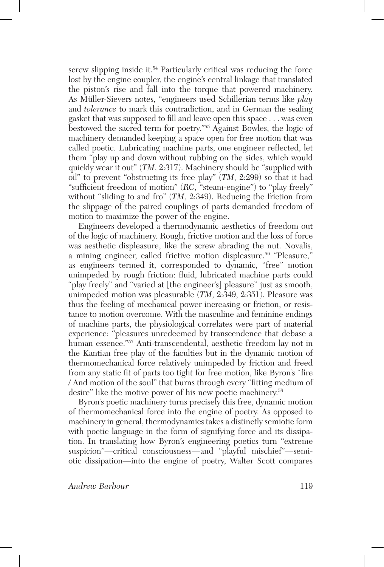screw slipping inside it.<sup>54</sup> Particularly critical was reducing the force lost by the engine coupler, the engine's central linkage that translated the piston's rise and fall into the torque that powered machinery. As Müller-Sievers notes, "engineers used Schillerian terms like *play* and *tolerance* to mark this contradiction, and in German the sealing gasket that was supposed to fill and leave open this space . . . was even bestowed the sacred term for poetry."55 Against Bowles, the logic of machinery demanded keeping a space open for free motion that was called poetic. Lubricating machine parts, one engineer reflected, let them "play up and down without rubbing on the sides, which would quickly wear it out" (*TM*, 2:317). Machinery should be "supplied with oil" to prevent "obstructing its free play" (*TM*, 2:299) so that it had "sufficient freedom of motion" (*RC,* "steam-engine") to "play freely" without "sliding to and fro" (*TM*, 2:349). Reducing the friction from the slippage of the paired couplings of parts demanded freedom of motion to maximize the power of the engine.

Engineers developed a thermodynamic aesthetics of freedom out of the logic of machinery. Rough, frictive motion and the loss of force was aesthetic displeasure, like the screw abrading the nut. Novalis, a mining engineer, called frictive motion displeasure.<sup>56</sup> "Pleasure," as engineers termed it, corresponded to dynamic, "free" motion unimpeded by rough friction: fluid, lubricated machine parts could "play freely" and "varied at [the engineer's] pleasure" just as smooth, unimpeded motion was pleasurable (*TM*, 2:349, 2:351). Pleasure was thus the feeling of mechanical power increasing or friction, or resistance to motion overcome. With the masculine and feminine endings of machine parts, the physiological correlates were part of material experience: "pleasures unredeemed by transcendence that debase a human essence."<sup>57</sup> Anti-transcendental, aesthetic freedom lay not in the Kantian free play of the faculties but in the dynamic motion of thermomechanical force relatively unimpeded by friction and freed from any static fit of parts too tight for free motion, like Byron's "fire / And motion of the soul" that burns through every "fitting medium of desire" like the motive power of his new poetic machinery.<sup>58</sup>

Byron's poetic machinery turns precisely this free, dynamic motion of thermomechanical force into the engine of poetry. As opposed to machinery in general, thermodynamics takes a distinctly semiotic form with poetic language in the form of signifying force and its dissipation. In translating how Byron's engineering poetics turn "extreme suspicion"—critical consciousness—and "playful mischief"—semiotic dissipation—into the engine of poetry, Walter Scott compares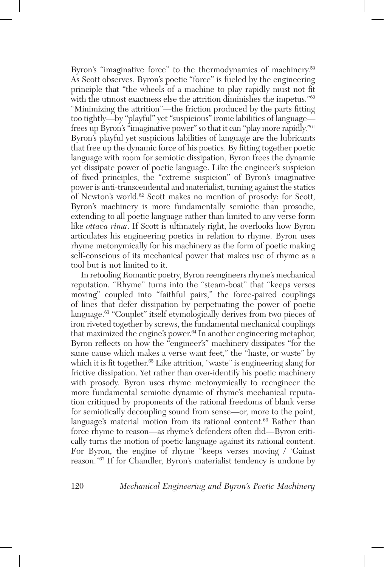Byron's "imaginative force" to the thermodynamics of machinery.<sup>59</sup> As Scott observes, Byron's poetic "force" is fueled by the engineering principle that "the wheels of a machine to play rapidly must not fit with the utmost exactness else the attrition diminishes the impetus."<sup>60</sup> "Minimizing the attrition"—the friction produced by the parts fitting too tightly—by "playful" yet "suspicious" ironic labilities of language frees up Byron's "imaginative power" so that it can "play more rapidly."61 Byron's playful yet suspicious labilities of language are the lubricants that free up the dynamic force of his poetics. By fitting together poetic language with room for semiotic dissipation, Byron frees the dynamic yet dissipate power of poetic language. Like the engineer's suspicion of fixed principles, the "extreme suspicion" of Byron's imaginative power is anti-transcendental and materialist, turning against the statics of Newton's world.62 Scott makes no mention of prosody: for Scott, Byron's machinery is more fundamentally semiotic than prosodic, extending to all poetic language rather than limited to any verse form like *ottava rima*. If Scott is ultimately right, he overlooks how Byron articulates his engineering poetics in relation to rhyme. Byron uses rhyme metonymically for his machinery as the form of poetic making self-conscious of its mechanical power that makes use of rhyme as a tool but is not limited to it.

In retooling Romantic poetry, Byron reengineers rhyme's mechanical reputation. "Rhyme" turns into the "steam-boat" that "keeps verses moving" coupled into "faithful pairs," the force-paired couplings of lines that defer dissipation by perpetuating the power of poetic language.63 "Couplet" itself etymologically derives from two pieces of iron riveted together by screws, the fundamental mechanical couplings that maximized the engine's power.<sup>64</sup> In another engineering metaphor, Byron reflects on how the "engineer's" machinery dissipates "for the same cause which makes a verse want feet," the "haste, or waste" by which it is fit together.<sup>65</sup> Like attrition, "waste" is engineering slang for frictive dissipation. Yet rather than over-identify his poetic machinery with prosody, Byron uses rhyme metonymically to reengineer the more fundamental semiotic dynamic of rhyme's mechanical reputation critiqued by proponents of the rational freedoms of blank verse for semiotically decoupling sound from sense—or, more to the point, language's material motion from its rational content.<sup>66</sup> Rather than force rhyme to reason—as rhyme's defenders often did—Byron critically turns the motion of poetic language against its rational content. For Byron, the engine of rhyme "keeps verses moving / 'Gainst reason."67 If for Chandler, Byron's materialist tendency is undone by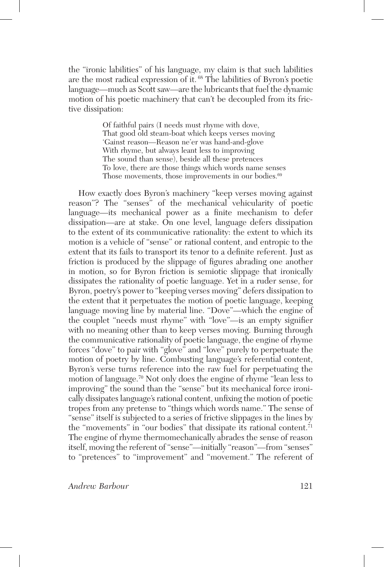the "ironic labilities" of his language, my claim is that such labilities are the most radical expression of it. 68 The labilities of Byron's poetic language—much as Scott saw—are the lubricants that fuel the dynamic motion of his poetic machinery that can't be decoupled from its frictive dissipation:

> Of faithful pairs (I needs must rhyme with dove, That good old steam-boat which keeps verses moving 'Gainst reason—Reason ne'er was hand-and-glove With rhyme, but always leant less to improving The sound than sense), beside all these pretences To love, there are those things which words name senses Those movements, those improvements in our bodies.<sup>69</sup>

How exactly does Byron's machinery "keep verses moving against reason"? The "senses" of the mechanical vehicularity of poetic language—its mechanical power as a finite mechanism to defer dissipation—are at stake. On one level, language defers dissipation to the extent of its communicative rationality: the extent to which its motion is a vehicle of "sense" or rational content, and entropic to the extent that its fails to transport its tenor to a definite referent. Just as friction is produced by the slippage of figures abrading one another in motion, so for Byron friction is semiotic slippage that ironically dissipates the rationality of poetic language. Yet in a ruder sense, for Byron, poetry's power to "keeping verses moving" defers dissipation to the extent that it perpetuates the motion of poetic language, keeping language moving line by material line. "Dove"—which the engine of the couplet "needs must rhyme" with "love"—is an empty signifier with no meaning other than to keep verses moving. Burning through the communicative rationality of poetic language, the engine of rhyme forces "dove" to pair with "glove" and "love" purely to perpetuate the motion of poetry by line. Combusting language's referential content, Byron's verse turns reference into the raw fuel for perpetuating the motion of language.70 Not only does the engine of rhyme "lean less to improving" the sound than the "sense" but its mechanical force ironically dissipates language's rational content, unfixing the motion of poetic tropes from any pretense to "things which words name." The sense of "sense" itself is subjected to a series of frictive slippages in the lines by the "movements" in "our bodies" that dissipate its rational content.<sup>71</sup> The engine of rhyme thermomechanically abrades the sense of reason itself, moving the referent of "sense"—initially "reason"—from "senses" to "pretences" to "improvement" and "movement." The referent of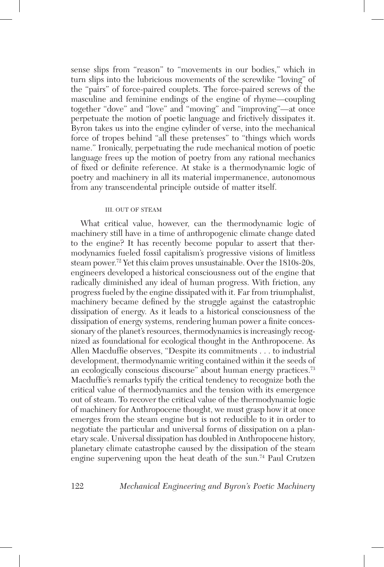sense slips from "reason" to "movements in our bodies," which in turn slips into the lubricious movements of the screwlike "loving" of the "pairs" of force-paired couplets. The force-paired screws of the masculine and feminine endings of the engine of rhyme—coupling together "dove" and "love" and "moving" and "improving"—at once perpetuate the motion of poetic language and frictively dissipates it. Byron takes us into the engine cylinder of verse, into the mechanical force of tropes behind "all these pretenses" to "things which words name." Ironically, perpetuating the rude mechanical motion of poetic language frees up the motion of poetry from any rational mechanics of fixed or definite reference. At stake is a thermodynamic logic of poetry and machinery in all its material impermanence, autonomous from any transcendental principle outside of matter itself.

#### III. OUT OF STEAM

What critical value, however, can the thermodynamic logic of machinery still have in a time of anthropogenic climate change dated to the engine? It has recently become popular to assert that thermodynamics fueled fossil capitalism's progressive visions of limitless steam power.72 Yet this claim proves unsustainable. Over the 1810s-20s, engineers developed a historical consciousness out of the engine that radically diminished any ideal of human progress. With friction, any progress fueled by the engine dissipated with it. Far from triumphalist, machinery became defined by the struggle against the catastrophic dissipation of energy. As it leads to a historical consciousness of the dissipation of energy systems, rendering human power a finite concessionary of the planet's resources, thermodynamics is increasingly recognized as foundational for ecological thought in the Anthropocene. As Allen Macduffie observes, "Despite its commitments . . . to industrial development, thermodynamic writing contained within it the seeds of an ecologically conscious discourse" about human energy practices.73 Macduffie's remarks typify the critical tendency to recognize both the critical value of thermodynamics and the tension with its emergence out of steam. To recover the critical value of the thermodynamic logic of machinery for Anthropocene thought, we must grasp how it at once emerges from the steam engine but is not reducible to it in order to negotiate the particular and universal forms of dissipation on a planetary scale. Universal dissipation has doubled in Anthropocene history, planetary climate catastrophe caused by the dissipation of the steam engine supervening upon the heat death of the sun.74 Paul Crutzen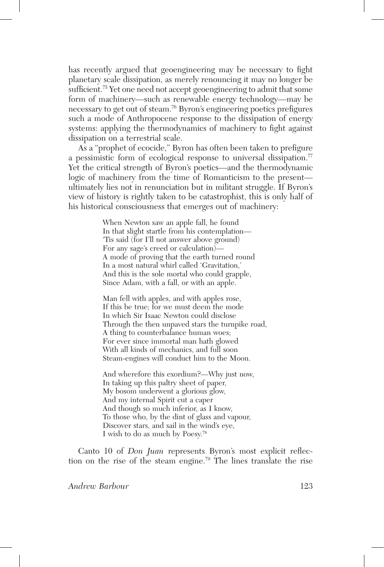has recently argued that geoengineering may be necessary to fight planetary scale dissipation, as merely renouncing it may no longer be sufficient.75 Yet one need not accept geoengineering to admit that some form of machinery—such as renewable energy technology—may be necessary to get out of steam.76 Byron's engineering poetics prefigures such a mode of Anthropocene response to the dissipation of energy systems: applying the thermodynamics of machinery to fight against dissipation on a terrestrial scale.

As a "prophet of ecocide," Byron has often been taken to prefigure a pessimistic form of ecological response to universal dissipation.<sup>77</sup> Yet the critical strength of Byron's poetics—and the thermodynamic logic of machinery from the time of Romanticism to the present ultimately lies not in renunciation but in militant struggle. If Byron's view of history is rightly taken to be catastrophist, this is only half of his historical consciousness that emerges out of machinery:

> When Newton saw an apple fall, he found In that slight startle from his contemplation— 'Tis said (for I'll not answer above ground) For any sage's creed or calculation)— A mode of proving that the earth turned round In a most natural whirl called 'Gravitation,' And this is the sole mortal who could grapple, Since Adam, with a fall, or with an apple.

Man fell with apples, and with apples rose, If this be true; for we must deem the mode In which Sir Isaac Newton could disclose Through the then unpaved stars the turnpike road, A thing to counterbalance human woes; For ever since immortal man hath glowed With all kinds of mechanics, and full soon Steam-engines will conduct him to the Moon.

And wherefore this exordium?—Why just now, In taking up this paltry sheet of paper, My bosom underwent a glorious glow, And my internal Spirit cut a caper And though so much inferior, as I know, To those who, by the dint of glass and vapour, Discover stars, and sail in the wind's eye, I wish to do as much by Poesy.78

Canto 10 of *Don Juan* represents Byron's most explicit reflection on the rise of the steam engine.79 The lines translate the rise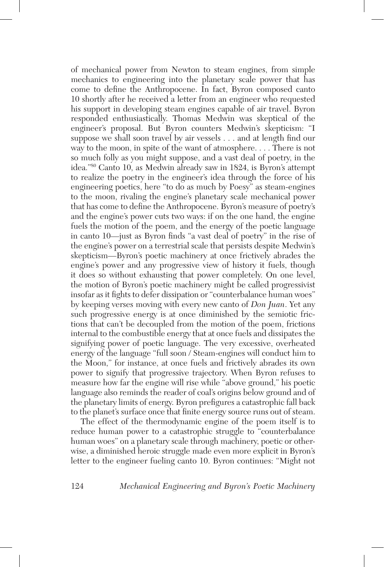of mechanical power from Newton to steam engines, from simple mechanics to engineering into the planetary scale power that has come to define the Anthropocene. In fact, Byron composed canto 10 shortly after he received a letter from an engineer who requested his support in developing steam engines capable of air travel. Byron responded enthusiastically. Thomas Medwin was skeptical of the engineer's proposal. But Byron counters Medwin's skepticism: "I suppose we shall soon travel by air vessels . . . and at length find our way to the moon, in spite of the want of atmosphere. . . . There is not so much folly as you might suppose, and a vast deal of poetry, in the idea."80 Canto 10, as Medwin already saw in 1824, is Byron's attempt to realize the poetry in the engineer's idea through the force of his engineering poetics, here "to do as much by Poesy" as steam-engines to the moon, rivaling the engine's planetary scale mechanical power that has come to define the Anthropocene. Byron's measure of poetry's and the engine's power cuts two ways: if on the one hand, the engine fuels the motion of the poem, and the energy of the poetic language in canto 10—just as Byron finds "a vast deal of poetry" in the rise of the engine's power on a terrestrial scale that persists despite Medwin's skepticism—Byron's poetic machinery at once frictively abrades the engine's power and any progressive view of history it fuels, though it does so without exhausting that power completely. On one level, the motion of Byron's poetic machinery might be called progressivist insofar as it fights to defer dissipation or "counterbalance human woes" by keeping verses moving with every new canto of *Don Juan*. Yet any such progressive energy is at once diminished by the semiotic frictions that can't be decoupled from the motion of the poem, frictions internal to the combustible energy that at once fuels and dissipates the signifying power of poetic language. The very excessive, overheated energy of the language "full soon / Steam-engines will conduct him to the Moon," for instance, at once fuels and frictively abrades its own power to signify that progressive trajectory. When Byron refuses to measure how far the engine will rise while "above ground," his poetic language also reminds the reader of coal's origins below ground and of the planetary limits of energy. Byron prefigures a catastrophic fall back to the planet's surface once that finite energy source runs out of steam.

The effect of the thermodynamic engine of the poem itself is to reduce human power to a catastrophic struggle to "counterbalance human woes" on a planetary scale through machinery, poetic or otherwise, a diminished heroic struggle made even more explicit in Byron's letter to the engineer fueling canto 10. Byron continues: "Might not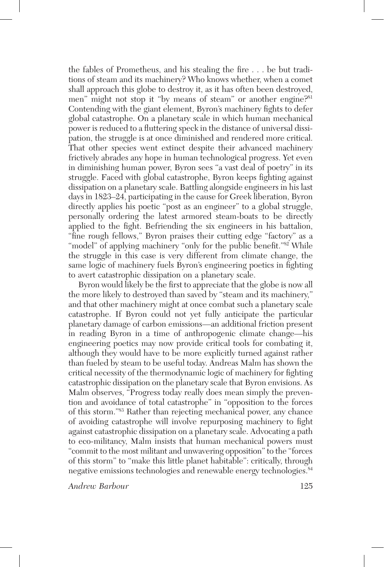the fables of Prometheus, and his stealing the fire . . . be but traditions of steam and its machinery? Who knows whether, when a comet shall approach this globe to destroy it, as it has often been destroyed, men" might not stop it "by means of steam" or another engine?<sup>81</sup> Contending with the giant element, Byron's machinery fights to defer global catastrophe. On a planetary scale in which human mechanical power is reduced to a fluttering speck in the distance of universal dissipation, the struggle is at once diminished and rendered more critical. That other species went extinct despite their advanced machinery frictively abrades any hope in human technological progress. Yet even in diminishing human power, Byron sees "a vast deal of poetry" in its struggle. Faced with global catastrophe, Byron keeps fighting against dissipation on a planetary scale. Battling alongside engineers in his last days in 1823–24, participating in the cause for Greek liberation, Byron directly applies his poetic "post as an engineer" to a global struggle, personally ordering the latest armored steam-boats to be directly applied to the fight. Befriending the six engineers in his battalion, "fine rough fellows," Byron praises their cutting edge "factory" as a "model" of applying machinery "only for the public benefit."<sup>82</sup> While the struggle in this case is very different from climate change, the same logic of machinery fuels Byron's engineering poetics in fighting to avert catastrophic dissipation on a planetary scale.

Byron would likely be the first to appreciate that the globe is now all the more likely to destroyed than saved by "steam and its machinery," and that other machinery might at once combat such a planetary scale catastrophe. If Byron could not yet fully anticipate the particular planetary damage of carbon emissions—an additional friction present in reading Byron in a time of anthropogenic climate change—his engineering poetics may now provide critical tools for combating it, although they would have to be more explicitly turned against rather than fueled by steam to be useful today. Andreas Malm has shown the critical necessity of the thermodynamic logic of machinery for fighting catastrophic dissipation on the planetary scale that Byron envisions. As Malm observes, "Progress today really does mean simply the prevention and avoidance of total catastrophe" in "opposition to the forces of this storm."83 Rather than rejecting mechanical power, any chance of avoiding catastrophe will involve repurposing machinery to fight against catastrophic dissipation on a planetary scale. Advocating a path to eco-militancy, Malm insists that human mechanical powers must "commit to the most militant and unwavering opposition" to the "forces of this storm" to "make this little planet habitable": critically, through negative emissions technologies and renewable energy technologies.<sup>84</sup>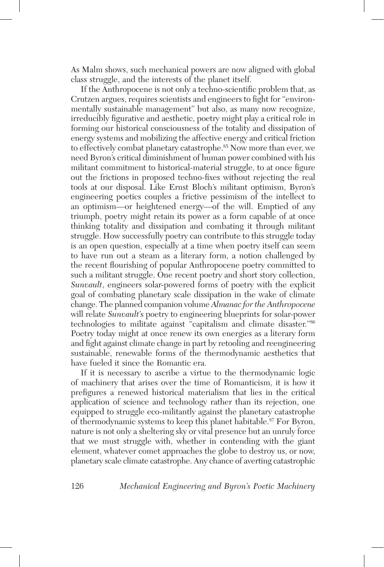As Malm shows, such mechanical powers are now aligned with global class struggle, and the interests of the planet itself.

If the Anthropocene is not only a techno-scientific problem that, as Crutzen argues, requires scientists and engineers to fight for "environmentally sustainable management" but also, as many now recognize, irreducibly figurative and aesthetic, poetry might play a critical role in forming our historical consciousness of the totality and dissipation of energy systems and mobilizing the affective energy and critical friction to effectively combat planetary catastrophe.<sup>85</sup> Now more than ever, we need Byron's critical diminishment of human power combined with his militant commitment to historical-material struggle, to at once figure out the frictions in proposed techno-fixes without rejecting the real tools at our disposal. Like Ernst Bloch's militant optimism, Byron's engineering poetics couples a frictive pessimism of the intellect to an optimism—or heightened energy—of the will. Emptied of any triumph, poetry might retain its power as a form capable of at once thinking totality and dissipation and combating it through militant struggle. How successfully poetry can contribute to this struggle today is an open question, especially at a time when poetry itself can seem to have run out a steam as a literary form, a notion challenged by the recent flourishing of popular Anthropocene poetry committed to such a militant struggle. One recent poetry and short story collection, *Sunvault*, engineers solar-powered forms of poetry with the explicit goal of combating planetary scale dissipation in the wake of climate change. The planned companion volume *Almanac for the Anthropocene* will relate *Sunvault*'s poetry to engineering blueprints for solar-power technologies to militate against "capitalism and climate disaster."86 Poetry today might at once renew its own energies as a literary form and fight against climate change in part by retooling and reengineering sustainable, renewable forms of the thermodynamic aesthetics that have fueled it since the Romantic era.

If it is necessary to ascribe a virtue to the thermodynamic logic of machinery that arises over the time of Romanticism, it is how it prefigures a renewed historical materialism that lies in the critical application of science and technology rather than its rejection, one equipped to struggle eco-militantly against the planetary catastrophe of thermodynamic systems to keep this planet habitable.<sup>87</sup> For Byron, nature is not only a sheltering sky or vital presence but an unruly force that we must struggle with, whether in contending with the giant element, whatever comet approaches the globe to destroy us, or now, planetary scale climate catastrophe. Any chance of averting catastrophic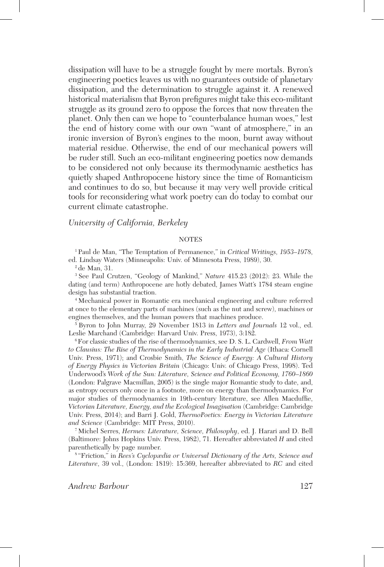dissipation will have to be a struggle fought by mere mortals. Byron's engineering poetics leaves us with no guarantees outside of planetary dissipation, and the determination to struggle against it. A renewed historical materialism that Byron prefigures might take this eco-militant struggle as its ground zero to oppose the forces that now threaten the planet. Only then can we hope to "counterbalance human woes," lest the end of history come with our own "want of atmosphere," in an ironic inversion of Byron's engines to the moon, burnt away without material residue. Otherwise, the end of our mechanical powers will be ruder still. Such an eco-militant engineering poetics now demands to be considered not only because its thermodynamic aesthetics has quietly shaped Anthropocene history since the time of Romanticism and continues to do so, but because it may very well provide critical tools for reconsidering what work poetry can do today to combat our current climate catastrophe.

#### *University of California, Berkeley*

#### **NOTES**

<sup>1</sup> Paul de Man, "The Temptation of Permanence," in *Critical Writings, 1953–1978*, ed. Lindsay Waters (Minneapolis: Univ. of Minnesota Press, 1989), 30.

<sup>2</sup> de Man, 31.

<sup>3</sup> See Paul Crutzen, "Geology of Mankind," *Nature* 415.23 (2012): 23. While the dating (and term) Anthropocene are hotly debated, James Watt's 1784 steam engine design has substantial traction.

<sup>4</sup> Mechanical power in Romantic era mechanical engineering and culture referred at once to the elementary parts of machines (such as the nut and screw), machines or engines themselves, and the human powers that machines produce.

<sup>5</sup> Byron to John Murray, 29 November 1813 in *Letters and Journals* 12 vol., ed. Leslie Marchand (Cambridge: Harvard Univ. Press, 1973), 3:182.

6For classic studies of the rise of thermodynamics, see D. S. L. Cardwell, *From Watt to Clausius: The Rise of Thermodynamics in the Early Industrial Age* (Ithaca: Cornell Univ. Press, 1971); and Crosbie Smith, *The Science of Energy: A Cultural History of Energy Physics in Victorian Britain* (Chicago: Univ. of Chicago Press, 1998). Ted Underwood's *Work of the Sun: Literature, Science and Political Economy, 1760–1860* (London: Palgrave Macmillan, 2005) is the single major Romantic study to date, and, as entropy occurs only once in a footnote, more on energy than thermodynamics. For major studies of thermodynamics in 19th-century literature, see Allen Macduffie, *Victorian Literature, Energy, and the Ecological Imagination* (Cambridge: Cambridge Univ. Press, 2014); and Barri J. Gold, *ThermoPoetics: Energy in Victorian Literature and Science* (Cambridge: MIT Press, 2010).

<sup>7</sup> Michel Serres, *Hermes: Literature, Science, Philosophy*, ed. J. Harari and D. Bell (Baltimore: Johns Hopkins Univ. Press, 1982), 71. Hereafter abbreviated *H* and cited parenthetically by page number.

<sup>8</sup> "Friction," in *Rees's Cyclopædia or Universal Dictionary of the Arts, Science and Literature*, 39 vol., (London: 1819): 15:369, hereafter abbreviated to *RC* and cited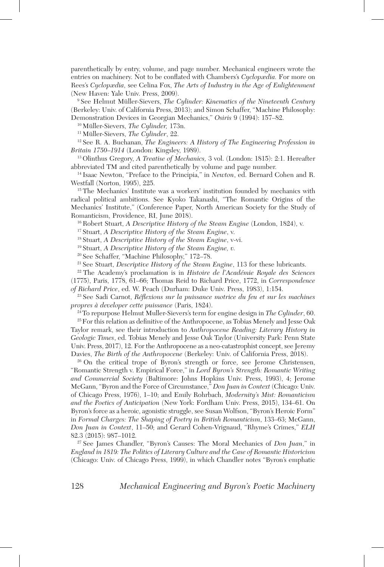parenthetically by entry, volume, and page number. Mechanical engineers wrote the entries on machinery. Not to be conflated with Chambers's *Cyclopædia.* For more on Rees's *Cyclopædia,* see Celina Fox, *The Arts of Industry in the Age of Enlightenment* (New Haven: Yale Univ. Press, 2009).

<sup>9</sup> See Helmut Müller-Sievers, *The Cylinder: Kinematics of the Nineteenth Century* (Berkeley: Univ. of California Press, 2013); and Simon Schaffer, "Machine Philosophy:

Demonstration Devices in Georgian Mechanics," *Osiris* 9 (1994): 157–82.

<sup>10</sup> Müller-Sievers, *The Cylinder,* 173n.

<sup>11</sup> Müller-Sievers, *The Cylinder*, 22.

<sup>12</sup> See R. A. Buchanan, *The Engineers: A History of The Engineering Profession in Britain 1750–1914* (London: Kingsley, 1989).

<sup>13</sup> Olinthus Gregory, *A Treatise of Mechanics,* 3 vol. (London: 1815): 2:1. Hereafter abbreviated TM and cited parenthetically by volume and page number.

<sup>14</sup> Isaac Newton, "Preface to the Principia," in *Newton*, ed. Bernard Cohen and R. Westfall (Norton, 1995), 225.

<sup>15</sup> The Mechanics' Institute was a workers' institution founded by mechanics with radical political ambitions. See Kyoko Takanashi, "The Romantic Origins of the Mechanics' Institute," (Conference Paper, North American Society for the Study of Romanticism, Providence, RI, June 2018).

<sup>16</sup> Robert Stuart, *A Descriptive History of the Steam Engine* (London, 1824), v.

<sup>17</sup> Stuart, *A Descriptive History of the Steam Engine*, v.

<sup>18</sup> Stuart, *A Descriptive History of the Steam Engine*, v-vi.

<sup>19</sup> Stuart, *A Descriptive History of the Steam Engine, v.*

<sup>20</sup> See Schaffer, "Machine Philosophy," 172–78.

<sup>21</sup> See Stuart, *Descriptive History of the Steam Engine*, 113 for these lubricants.

<sup>22</sup> The Academy's proclamation is in *Histoire de l'Académie Royale des Sciences* (1775), Paris, 1778, 61–66; Thomas Reid to Richard Price, 1772, in *Correspondence of Richard Price*, ed. W. Peach (Durham: Duke Univ. Press, 1983), 1:154.

<sup>23</sup> See Sadi Carnot, *Réflexions sur la puissance motrice du feu et sur les machines propres à developer cette puissance* (Paris, 1824).

24To repurpose Helmut Muller-Sievers's term for engine design in *The Cylinder*, 60.

<sup>25</sup> For this relation as definitive of the Anthropocene, as Tobias Menely and Jesse Oak Taylor remark, see their introduction to *Anthropocene Reading: Literary History in Geologic Times*, ed. Tobias Menely and Jesse Oak Taylor (University Park: Penn State Univ. Press, 2017), 12. For the Anthropocene as a neo-catastrophist concept, see Jeremy Davies, *The Birth of the Anthropocene* (Berkeley: Univ. of California Press, 2018).

<sup>26</sup> On the critical trope of Byron's strength or force, see Jerome Christensen, "Romantic Strength v. Empirical Force," in *Lord Byron's Strength: Romantic Writing and Commercial Society* (Baltimore: Johns Hopkins Univ. Press, 1993), 4; Jerome McGann, "Byron and the Force of Circumstance," *Don Juan in Context* (Chicago: Univ. of Chicago Press, 1976), 1–10; and Emily Rohrbach, *Modernity's Mist: Romanticism and the Poetics of Anticipation* (New York: Fordham Univ. Press, 2015), 134–61. On Byron's force as a heroic, agonistic struggle, see Susan Wolfson, "Byron's Heroic Form" in *Formal Charges: The Shaping of Poetry in British Romanticism*, 133–63; McGann, *Don Juan in Context*, 11–50; and Gerard Cohen-Vrignaud, "Rhyme's Crimes," *ELH* 82.3 (2015): 987–1012.

<sup>27</sup> See James Chandler, "Byron's Causes: The Moral Mechanics of *Don Juan*," in *England in 1819: The Politics of Literary Culture and the Case of Romantic Historicism* (Chicago: Univ. of Chicago Press, 1999), in which Chandler notes "Byron's emphatic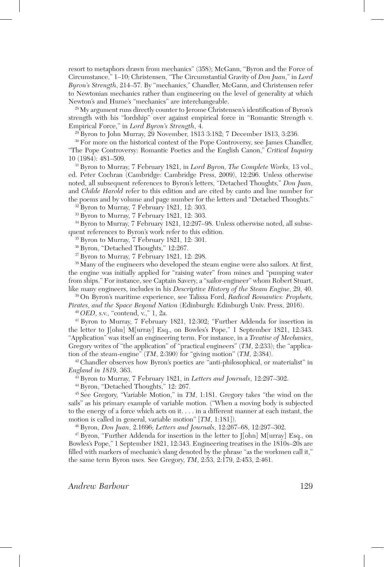resort to metaphors drawn from mechanics" (358); McGann, "Byron and the Force of Circumstance," 1–10; Christensen, "The Circumstantial Gravity of *Don Juan*," in *Lord Byron's Strength*, 214–57. By "mechanics," Chandler, McGann, and Christensen refer to Newtonian mechanics rather than engineering on the level of generality at which Newton's and Hume's "mechanics" are interchangeable.

28My argument runs directly counter to Jerome Christensen's identification of Byron's strength with his "lordship" over against empirical force in "Romantic Strength v. Empirical Force," in *Lord Byron's Strength*, 4.

<sup>29</sup> Byron to John Murray, 29 November, 1813 3:182; 7 December 1813, 3:236.

<sup>30</sup> For more on the historical context of the Pope Controversy, see James Chandler, "The Pope Controversy: Romantic Poetics and the English Canon," *Critical Inquiry* 10 (1984): 481–509.

31Byron to Murray, 7 February 1821, in *Lord Byron, The Complete Works,* 13 vol., ed. Peter Cochran (Cambridge: Cambridge Press, 2009), 12:296. Unless otherwise noted, all subsequent references to Byron's letters, "Detached Thoughts," *Don Juan,* and *Childe Harold* refer to this edition and are cited by canto and line number for the poems and by volume and page number for the letters and "Detached Thoughts."

<sup>32</sup> Byron to Murray, 7 February 1821, 12: 303.

<sup>33</sup> Byron to Murray, 7 February 1821, 12: 303.

34Byron to Murray, 7 February 1821, 12:297–98. Unless otherwise noted, all subsequent references to Byron's work refer to this edition.

<sup>35</sup> Byron to Murray, 7 February 1821, 12: 301.

<sup>36</sup> Byron, "Detached Thoughts," 12:267.

<sup>37</sup> Byron to Murray, 7 February 1821, 12: 298.

38Many of the engineers who developed the steam engine were also sailors. At first, the engine was initially applied for "raising water" from mines and "pumping water from ships." For instance, see Captain Savery, a "sailor-engineer" whom Robert Stuart, like many engineers, includes in his *Descriptive History of the Steam Engine*, 29, 40.

<sup>39</sup> On Byron's maritime experience, see Talissa Ford, *Radical Romantics: Prophets, Pirates, and the Space Beyond Nation* (Edinburgh: Edinburgh Univ. Press, 2016).

<sup>40</sup> *OED*, s.v., "contend, v.," 1, 2a.

<sup>41</sup> Byron to Murray, 7 February 1821, 12:302; "Further Addenda for insertion in the letter to J[ohn] M[urray] Esq., on Bowles's Pope," 1 September 1821, 12:343. "Application" was itself an engineering term. For instance, in a *Treatise of Mechanics*, Gregory writes of "the application" of "practical engineers" (*TM*, 2:233); the "application of the steam-engine" (*TM*, 2:390) for "giving motion" (*TM*, 2:384).

<sup>42</sup> Chandler observes how Byron's poetics are "anti-philosophical, or materialist" in *England in 1819*, 363.

<sup>43</sup> Byron to Murray, 7 February 1821, in *Letters and Journals*, 12:297–302.

<sup>44</sup> Byron, "Detached Thoughts," 12: 267.

<sup>45</sup> See Gregory, "Variable Motion," in *TM*, 1:181. Gregory takes "the wind on the sails" as his primary example of variable motion. ("When a moving body is subjected to the energy of a force which acts on it. . . . in a different manner at each instant, the motion is called in general, variable motion" [*TM*, 1:181]).

<sup>46</sup> Byron, *Don Juan*, 2.1696; *Letters and Journals*, 12:267–68, 12:297–302.

 $47$  Byron, "Further Addenda for insertion in the letter to  $\lceil \text{ohn} \rceil$  M[urray] Esq., on Bowles's Pope," 1 September 1821, 12:343. Engineering treatises in the 1810s–20s are filled with markers of mechanic's slang denoted by the phrase "as the workmen call it," the same term Byron uses. See Gregory, *TM*, 2:53, 2:179, 2:453, 2:461.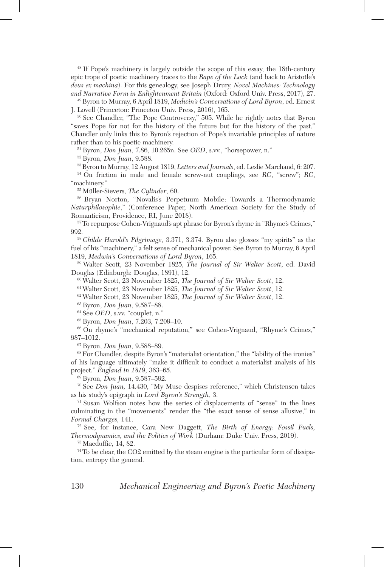<sup>48</sup> If Pope's machinery is largely outside the scope of this essay, the 18th-century epic trope of poetic machinery traces to the *Rape of the Lock* (and back to Aristotle's *deus ex machina*). For this genealogy, see Joseph Drury, *Novel Machines: Technology and Narrative Form in Enlightenment Britain* (Oxford: Oxford Univ. Press, 2017), 27.

49Byron to Murray, 6 April 1819, *Medwin's Conversations of Lord Byron*, ed. Ernest J. Lovell (Princeton: Princeton Univ. Press, 2016), 165.

<sup>50</sup> See Chandler, "The Pope Controversy," 505. While he rightly notes that Byron "saves Pope for not for the history of the future but for the history of the past," Chandler only links this to Byron's rejection of Pope's invariable principles of nature rather than to his poetic machinery.

<sup>51</sup> Byron, *Don Juan*, 7.86, 10.265n. See *OED*, s.vv., "horsepower, n."

<sup>52</sup> Byron, *Don Juan*, 9.588.

53Byron to Murray, 12 August 1819, *Letters and Journals*, ed. Leslie Marchand, 6: 207.

<sup>54</sup> On friction in male and female screw-nut couplings, see *RC*, "screw"; *RC*, "machinery."

<sup>55</sup> Müller-Sievers, *The Cylinder*, 60.

<sup>56</sup> Bryan Norton, "Novalis's Perpetuum Mobile: Towards a Thermodynamic *Naturphilosophie*," (Conference Paper, North American Society for the Study of Romanticism, Providence, RI, June 2018).

57To repurpose Cohen-Vrignaud's apt phrase for Byron's rhyme in "Rhyme's Crimes," 992.

<sup>58</sup> *Childe Harold's Pilgrimage*, 3.371, 3.374. Byron also glosses "my spirits" as the fuel of his "machinery," a felt sense of mechanical power. See Byron to Murray, 6 April 1819, *Medwin's Conversations of Lord Byron*, 165.

<sup>59</sup> Walter Scott, 23 November 1825, *The Journal of Sir Walter Scott*, ed. David Douglas (Edinburgh: Douglas, 1891), 12.

<sup>60</sup> Walter Scott, 23 November 1825, *The Journal of Sir Walter Scott*, 12.

<sup>61</sup> Walter Scott, 23 November 1825, *The Journal of Sir Walter Scott*, 12.

<sup>62</sup> Walter Scott, 23 November 1825, *The Journal of Sir Walter Scott*, 12.

<sup>63</sup> Byron, *Don Juan*, 9.587–88.

<sup>64</sup> See *OED*, s.vv. "couplet, n."

<sup>65</sup> Byron, *Don Juan*, 7.203, 7.209–10.

<sup>66</sup> On rhyme's "mechanical reputation," see Cohen-Vrignaud, "Rhyme's Crimes," 987–1012.

<sup>67</sup> Byron, *Don Juan*, 9.588–89.

68For Chandler, despite Byron's "materialist orientation," the "lability of the ironies" of his language ultimately "make it difficult to conduct a materialist analysis of his project." *England in 1819*, 363–65.

<sup>69</sup> Byron, *Don Juan*, 9.587–592.

<sup>70</sup> See *Don Juan,* 14.430, "My Muse despises reference," which Christensen takes as his study's epigraph in *Lord Byron's Strength*, 3.

<sup>71</sup> Susan Wolfson notes how the series of displacements of "sense" in the lines culminating in the "movements" render the "the exact sense of sense allusive," in *Formal Charges,* 141.

<sup>72</sup> See, for instance, Cara New Daggett, *The Birth of Energy: Fossil Fuels, Thermodynamics, and the Politics of Work* (Durham: Duke Univ. Press, 2019).

 $73$  Macduffie, 14, 82.

74To be clear, the CO2 emitted by the steam engine is the particular form of dissipation, entropy the general.